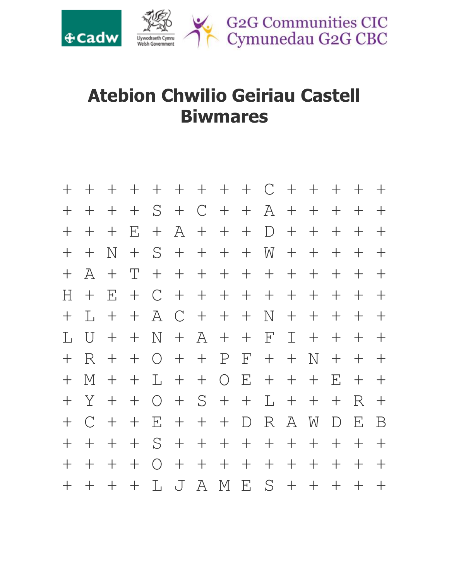

## **Atebion Chwilio Geiriau Castell Biwmares**

| $+$   | $\pm$          | $+$   | $+$                  |                 |               |         | + + + + + C +   |              |                 |              | $+$         | $+$ | $+$    | $\pm$       |  |
|-------|----------------|-------|----------------------|-----------------|---------------|---------|-----------------|--------------|-----------------|--------------|-------------|-----|--------|-------------|--|
| $+$   | $+$            | $+$   | $+$                  | $S +$           |               |         | $C + + A + +$   |              |                 |              |             | $+$ | $+$    | $\pm$       |  |
| $+$   | $\pm$          | $+$   | $\mathbf{F}_{\cdot}$ | $+$             | $\mathbb{A}$  |         | $+$ $+$ $+$     |              | D               | $+$          | $+$         | $+$ | $+$    | $\pm$       |  |
| $\pm$ | $+$            | N     | $\pm$                |                 |               |         | $S + + + +$     |              | $W +$           |              | $+$         | $+$ | $+$    | ╅           |  |
| $+$   | $\forall$      | $+$   | T                    |                 |               |         | + + + + + + + + |              |                 |              |             | $+$ | $+$    | $\pm$       |  |
| Н     | $\pm$          | E     | $\pm$                | $\mathcal{C}$   | $+$           |         | + + + + + +     |              |                 |              |             | $+$ | $+$    | $+$         |  |
| $\pm$ | T.             | $+$   | $+$                  | A               | $\mathcal{C}$ |         | $+$ $+$ $+$     |              | N               | $+$          | $+$         | $+$ | $+$    | $\pm$       |  |
| L     | $\overline{U}$ | $+$   | $+$                  | N               | $+$           |         | $A + +$         |              | $\mathbf{F}$    | $\mathbb{I}$ | $\pm$       | $+$ | $+$    | $\pm$       |  |
| $+$   | R.             | $+$   | $+$                  | $O +$           |               |         | $+$ $P$         | $\mathbf{F}$ | $+$             | $+$          | N           | $+$ | $+$    | $+$         |  |
| $+$   | M              | $\pm$ | $+$                  | L.              | $+$           |         | $+$ 0           | $\mathbf{E}$ | $+$             | $+$          | $+$         | E   | $+$    | $\pm$       |  |
| $+$   | Y              | $+$   | $+$                  | $O +$           |               | $S +$   |                 | $+$          | $L +$           |              | $+$         | $+$ | R      | $+$         |  |
| $+$   | $\bigcap$      | $+$   | $+$                  | $E_{\parallel}$ | $+$           | $+$ $+$ |                 | D            | $R_{\parallel}$ | A            | $\mathbf W$ | D   | E      | $\mathbf B$ |  |
| $+$   | $+$            | $\pm$ | $+$                  |                 |               |         | $S + + + + + +$ |              |                 |              | $+$         | $+$ | $^{+}$ | $+$         |  |
| $+$   | $+$            | $\pm$ | $+$                  | $O +$           |               |         | $+$ $+$         |              | $+$ $+$ $+$     |              | $+$         | $+$ | $\pm$  | $\pm$       |  |
| $\pm$ | $+$            | $+$   | $+$                  |                 |               |         | LJAM            |              | $E S +$         |              | $+$         | $+$ | $^{+}$ | $\pm$       |  |